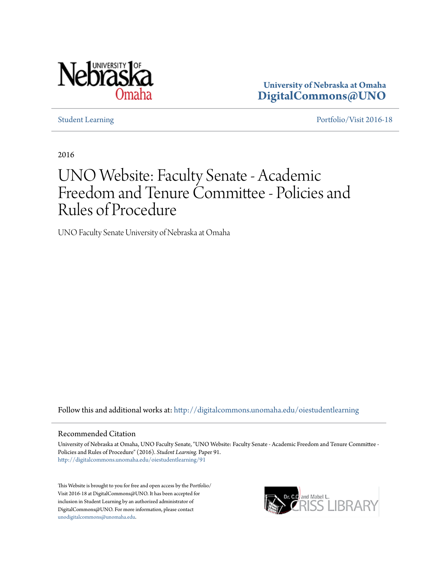

**University of Nebraska at Omaha [DigitalCommons@UNO](http://digitalcommons.unomaha.edu?utm_source=digitalcommons.unomaha.edu%2Foiestudentlearning%2F91&utm_medium=PDF&utm_campaign=PDFCoverPages)**

[Student Learning](http://digitalcommons.unomaha.edu/oiestudentlearning?utm_source=digitalcommons.unomaha.edu%2Foiestudentlearning%2F91&utm_medium=PDF&utm_campaign=PDFCoverPages) [Portfolio/Visit 2016-18](http://digitalcommons.unomaha.edu/oieportfolio?utm_source=digitalcommons.unomaha.edu%2Foiestudentlearning%2F91&utm_medium=PDF&utm_campaign=PDFCoverPages)

2016

# UNO Website: Faculty Senate - Academic Freedom and Tenure Committee - Policies and Rules of Procedure

UNO Faculty Senate University of Nebraska at Omaha

Follow this and additional works at: [http://digitalcommons.unomaha.edu/oiestudentlearning](http://digitalcommons.unomaha.edu/oiestudentlearning?utm_source=digitalcommons.unomaha.edu%2Foiestudentlearning%2F91&utm_medium=PDF&utm_campaign=PDFCoverPages)

# Recommended Citation

University of Nebraska at Omaha, UNO Faculty Senate, "UNO Website: Faculty Senate - Academic Freedom and Tenure Committee - Policies and Rules of Procedure" (2016). *Student Learning.* Paper 91. [http://digitalcommons.unomaha.edu/oiestudentlearning/91](http://digitalcommons.unomaha.edu/oiestudentlearning/91?utm_source=digitalcommons.unomaha.edu%2Foiestudentlearning%2F91&utm_medium=PDF&utm_campaign=PDFCoverPages)

This Website is brought to you for free and open access by the Portfolio/ Visit 2016-18 at DigitalCommons@UNO. It has been accepted for inclusion in Student Learning by an authorized administrator of DigitalCommons@UNO. For more information, please contact [unodigitalcommons@unomaha.edu](mailto:unodigitalcommons@unomaha.edu).

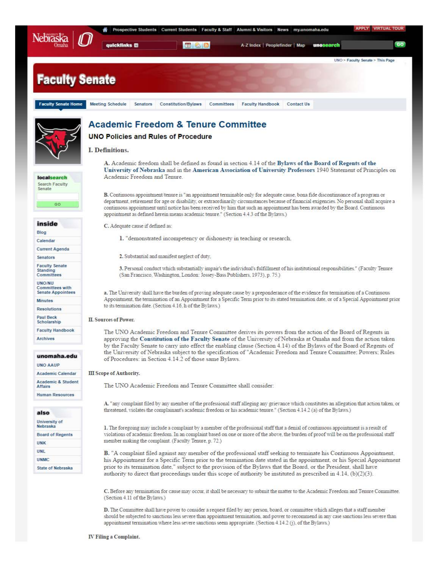|                                                              | <b>VIRTUAL TOUR</b><br><b>APPLY</b><br>Prospective Students   Current Students   Faculty & Staff   Alumni & Visitors   News  <br>my.unomaha.edu                                                                                                                                                                                                                                                                                                                                                                   |
|--------------------------------------------------------------|-------------------------------------------------------------------------------------------------------------------------------------------------------------------------------------------------------------------------------------------------------------------------------------------------------------------------------------------------------------------------------------------------------------------------------------------------------------------------------------------------------------------|
| <b>Nebraska</b>                                              | GO<br>565<br><b>guicklinks</b><br>A-Z Index   Peoplefinder   Map<br>unosearch                                                                                                                                                                                                                                                                                                                                                                                                                                     |
|                                                              | UNO > Faculty Senate > This Page                                                                                                                                                                                                                                                                                                                                                                                                                                                                                  |
| <b>Faculty Senate</b>                                        |                                                                                                                                                                                                                                                                                                                                                                                                                                                                                                                   |
| <b>Faculty Senate Home</b>                                   | <b>Meeting Schedule</b><br><b>Constitution/Bylaws</b><br>Committees<br><b>Faculty Handbook</b><br><b>Contact Us</b><br>Senators                                                                                                                                                                                                                                                                                                                                                                                   |
|                                                              | <b>Academic Freedom &amp; Tenure Committee</b>                                                                                                                                                                                                                                                                                                                                                                                                                                                                    |
|                                                              | <b>UNO Policies and Rules of Procedure</b>                                                                                                                                                                                                                                                                                                                                                                                                                                                                        |
|                                                              | <b>I. Definitions.</b>                                                                                                                                                                                                                                                                                                                                                                                                                                                                                            |
| localsearch<br><b>Search Faculty</b><br>Senate               | A. Academic freedom shall be defined as found in section 4.14 of the Bylaws of the Board of Regents of the<br>University of Nebraska and in the American Association of University Professors 1940 Statement of Principles on<br>Academic Freedom and Tenure                                                                                                                                                                                                                                                      |
| GO                                                           | <b>B.</b> Continuous appointment/tenure is "an appointment terminable only for adequate cause, bona fide discontinuance of a program or<br>department, retirement for age or disability, or extraordinarily circumstances because of financial exigencies. No personal shall acquire a<br>continuous appointment until notice has been received by him that such an appointment has been awarded by the Board. Continuous<br>appointment as defined herein means academic tenure." (Section 4.4.3 of the Bylaws.) |
| inside                                                       | C. Adequate cause if defined as:                                                                                                                                                                                                                                                                                                                                                                                                                                                                                  |
| Blog                                                         | 1. "demonstrated incompetency or dishonesty in teaching or research.                                                                                                                                                                                                                                                                                                                                                                                                                                              |
| Calendar                                                     |                                                                                                                                                                                                                                                                                                                                                                                                                                                                                                                   |
| <b>Current Agenda</b><br><b>Senators</b>                     | 2. Substantial and manifest neglect of duty,                                                                                                                                                                                                                                                                                                                                                                                                                                                                      |
| <b>Faculty Senate</b>                                        |                                                                                                                                                                                                                                                                                                                                                                                                                                                                                                                   |
| <b>Standing</b><br>Committees                                | 3. Personal conduct which substantially impair's the individual's fulfillment of his institutional responsibilities." (Faculty Tenure<br>(San Francisco, Washington, London: Jossey-Bass Publishers, 1973), p. 75.)                                                                                                                                                                                                                                                                                               |
| <b>UNO/NU</b><br>Committees with<br><b>Senate Appointees</b> | a. The University shall have the burden of proving adequate cause by a preponderance of the evidence for termination of a Continuous                                                                                                                                                                                                                                                                                                                                                                              |
| <b>Minutes</b>                                               | Appointment, the termination of an Appointment for a Specific Term prior to its stated termination date, or of a Special Appointment prior<br>to its termination date. (Section 4.16, h of the Bylaws.)                                                                                                                                                                                                                                                                                                           |
| <b>Resolutions</b><br><b>Paul Beck</b>                       |                                                                                                                                                                                                                                                                                                                                                                                                                                                                                                                   |
| Scholarship                                                  | <b>II. Sources of Power.</b>                                                                                                                                                                                                                                                                                                                                                                                                                                                                                      |
| <b>Faculty Handbook</b><br><b>Archives</b>                   | The UNO Academic Freedom and Tenure Committee derives its powers from the action of the Board of Regents in<br>approving the Constitution of the Faculty Senate of the University of Nebraska at Omaha and from the action taken<br>by the Faculty Senate to carry into effect the enabling clause (Section 4.14) of the Bylaws of the Board of Regents of                                                                                                                                                        |
| unomaha.edu<br><b>UNO AAUP</b>                               | the University of Nebraska subject to the specification of "Academic Freedom and Tenure Committee; Powers; Rules<br>of Procedures: in Section 4.14.2 of those same Bylaws.                                                                                                                                                                                                                                                                                                                                        |
| <b>Academic Calendar</b>                                     | <b>III</b> Scope of Authority.                                                                                                                                                                                                                                                                                                                                                                                                                                                                                    |
| Academic & Student                                           |                                                                                                                                                                                                                                                                                                                                                                                                                                                                                                                   |
| <b>Affairs</b>                                               | The UNO Academic Freedom and Tenure Committee shall consider:                                                                                                                                                                                                                                                                                                                                                                                                                                                     |
| <b>Human Resources</b>                                       | A. "any complaint filed by any member of the professional staff alleging any grievance which constitutes an allegation that action taken, or                                                                                                                                                                                                                                                                                                                                                                      |
| also                                                         | threatened, violates the complainant's academic freedom or his academic tenure." (Section 4.14.2 (a) of the Bylaws.)                                                                                                                                                                                                                                                                                                                                                                                              |
| University of<br>Nebraska                                    | 1. The foregoing may include a complaint by a member of the professional staff that a denial of continuous appointment is a result of                                                                                                                                                                                                                                                                                                                                                                             |
| <b>Board of Regents</b>                                      | violations of academic freedom. In an complaint based on one or more of the above, the burden of proof will be on the professional staff                                                                                                                                                                                                                                                                                                                                                                          |
| <b>UNK</b>                                                   | member making the complaint. (Faculty Tenure, p. 72.)                                                                                                                                                                                                                                                                                                                                                                                                                                                             |
| UNL                                                          | B. "A complaint filed against any member of the professional staff seeking to terminate his Continuous Appointment,                                                                                                                                                                                                                                                                                                                                                                                               |
| <b>UNMC</b>                                                  | his Appointment for a Specific Term prior to the termination date stated in the appointment, or his Special Appointment                                                                                                                                                                                                                                                                                                                                                                                           |
| <b>State of Nebraska</b>                                     | prior to its termination date," subject to the provision of the Bylaws that the Board, or the President, shall have<br>authority to direct that proceedings under this scope of authority be instituted as prescribed in 4.14, $(b)(2)(3)$ .                                                                                                                                                                                                                                                                      |
|                                                              | C. Before any termination for cause may occur, it shall be necessary to submit the matter to the Academic Freedom and Tenure Committee.<br>(Section 4.11 of the Bylaws.)                                                                                                                                                                                                                                                                                                                                          |
|                                                              | <b>D.</b> The Committee shall have power to consider a request filed by any person, board, or committee which alleges that a staff member<br>should be subjected to sanctions less severe than appointment termination, and power to recommend in any case sanctions less severe than<br>appointment termination where less severe sanctions seem appropriate. (Section 4.14.2 (j), of the Bylaws.)                                                                                                               |
|                                                              | $\Gamma$ . Filing a Complaint                                                                                                                                                                                                                                                                                                                                                                                                                                                                                     |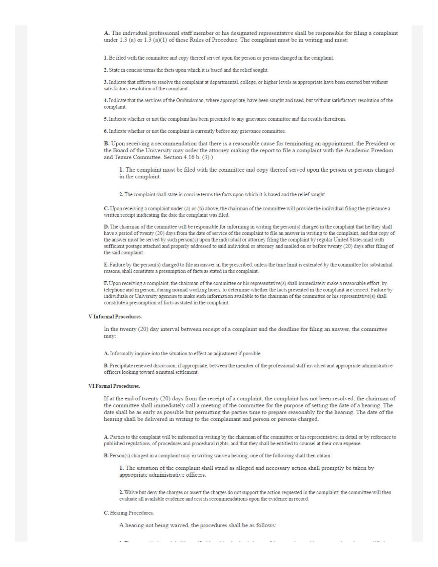A. The individual professional staff member or his designated representative shall be responsible for filing a complaint under  $1.3$  (a) or  $1.3$  (a)(1) of these Rules of Procedure. The complaint must be in writing and must:

1. Be filed with the committee and copy thereof served upon the person or persons charged in the complaint.

2. State in concise terms the facts upon which it is based and the relief sought.

3. Indicate that efforts to resolve the complaint at departmental, college, or higher levels as appropriate have been exerted but without satisfactory resolution of the complaint.

4. Indicate that the services of the Ombudsman, where appropriate. have been sought and used, but without satisfactory resolution of the complaint.

5. lndicate whether or not the complaint has been presented to any griennce committee and the results therefrom.

6. lndicate whether or not the complaint is currently before any grieYance committee.

**B.** Upon receiving a recommendation that there is a reasonable cause for terminating an appointment, the President or the Board of the University may order the attorney making the report to file a complaint with the Academic Freedom and Tenure Committee. Section 4.16 b. (3).)

1. The complaint must be filed with the committee and copy thereof served upon the person or persons charged in the complaint.

2. The complaint shall state in concise terms the facts upon which it is based and the relief sought.

C. Upon receiving a complaint under (a) or (b) above, the chairman of the committee will provide the individual filing the grievance a written receipt inidicating the date the complaint was filed.

D. The chairman of the committee will be responsible for informing in writing the person(s) charged in the complaint that he they shall have a period of twenty (20) days from the date of service of the complaint to file an answer in writing to the complaint, and that copy of the answer must be served by such person(s) upon the individual or attorney filing the complaint by regular United States mail with sufficient postage attached and properly addressed to said individual or attorney and mailed on or before twenty (20) days after filing of the said complaint.

E. Failure by the person(s) charged to file an answer in the prescribed, unless the time limit is extended by the committee for substantial reasons, shall constitute a presumption of facts as stated in the complaint.

**F.** Upon receiving a complaint, the chairman of the committee or his representative(s) shall immediately make a reasonable effort, by telephone and in person, during normal working hours, to determine whether the facts presented in the complaint are correct. Failure by individuals or University agencies to make such information available to the chairman of the committee or his representative(s) shall constitute a presumption of facts as stated in the complaint.

## V Informal Procedures.

In the twenty (20) day interval between receipt of a complaint and the deadline for filing an answer, the committee may:

A. Informally inquire into the situation to effect an adjustment if possible.

**B.** Precipitate renewed discussion, if appropriate, between the member of the professional staff involved and appropriate administrative officers looking toward a mutual settlement.

#### VI Formal Procedures.

If at the end of twenty (20) days from the receipt of a complaint, the complaint has not been resolved, the chairman of the committee shall inuuediately call a meeting of the committee for the purpose of setting the date of a hearing. The date shall be as early as possible but penuitting the parties time to prepare reasonably for the hearing. The date of the hearing shall be delivered in writing to the complainant and person or persons charged.

A. Parties to the complaint will be informed in writing by the chairman of the committee or his representative, in detail or by reference to published regulations, of procedures and procedural rights, and that they shall be entitled to counsel at their own expense.

B. Person(s) charged in a complaint may in writing waive a hearing; one of the following shall then obtain:

1. The situation of the complaint shall stand as alleged and necessary action shall promptly be taken by appropriate administrative officers.

2. Waive but deny the charges or assert the charges do not support the action requested in the complaint; the committee will then evaluate all available evidence and rest its recommendations upon the evidence in record.

### C. Hearing Procedures.

A hearing not being waived, the procedures shall be as follows: